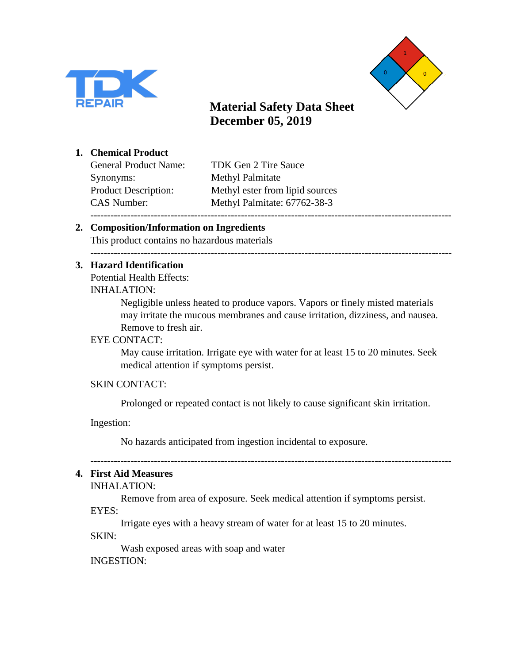



## **1. Chemical Product**

| <b>General Product Name:</b> |
|------------------------------|
| Synonyms:                    |
| <b>Product Description:</b>  |
| <b>CAS</b> Number:           |
|                              |

TDK Gen 2 Tire Sauce Methyl Palmitate Methyl ester from lipid sources Methyl Palmitate: 67762-38-3 ------------------------------------------------------------------------------------------------------------

### **2. Composition/Information on Ingredients**

This product contains no hazardous materials

#### ------------------------------------------------------------------------------------------------------------

#### **3. Hazard Identification**

Potential Health Effects:

### INHALATION:

Negligible unless heated to produce vapors. Vapors or finely misted materials may irritate the mucous membranes and cause irritation, dizziness, and nausea. Remove to fresh air.

### EYE CONTACT:

May cause irritation. Irrigate eye with water for at least 15 to 20 minutes. Seek medical attention if symptoms persist.

#### SKIN CONTACT:

Prolonged or repeated contact is not likely to cause significant skin irritation.

Ingestion:

No hazards anticipated from ingestion incidental to exposure.

#### ------------------------------------------------------------------------------------------------------------

## **4. First Aid Measures**

# INHALATION:

Remove from area of exposure. Seek medical attention if symptoms persist. EYES:

Irrigate eyes with a heavy stream of water for at least 15 to 20 minutes.

SKIN:

Wash exposed areas with soap and water INGESTION: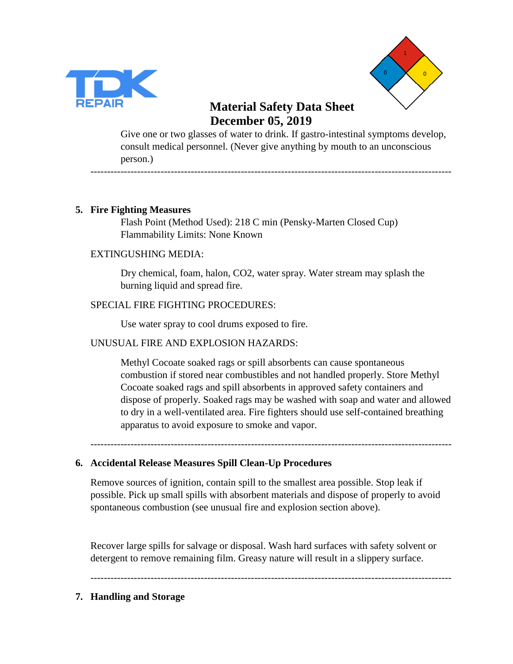



Give one or two glasses of water to drink. If gastro-intestinal symptoms develop, consult medical personnel. (Never give anything by mouth to an unconscious person.)

------------------------------------------------------------------------------------------------------------

## **5. Fire Fighting Measures**

Flash Point (Method Used): 218 C min (Pensky-Marten Closed Cup) Flammability Limits: None Known

### EXTINGUSHING MEDIA:

Dry chemical, foam, halon, CO2, water spray. Water stream may splash the burning liquid and spread fire.

# SPECIAL FIRE FIGHTING PROCEDURES:

Use water spray to cool drums exposed to fire.

# UNUSUAL FIRE AND EXPLOSION HAZARDS:

Methyl Cocoate soaked rags or spill absorbents can cause spontaneous combustion if stored near combustibles and not handled properly. Store Methyl Cocoate soaked rags and spill absorbents in approved safety containers and dispose of properly. Soaked rags may be washed with soap and water and allowed to dry in a well-ventilated area. Fire fighters should use self-contained breathing apparatus to avoid exposure to smoke and vapor.

------------------------------------------------------------------------------------------------------------

#### **6. Accidental Release Measures Spill Clean-Up Procedures**

Remove sources of ignition, contain spill to the smallest area possible. Stop leak if possible. Pick up small spills with absorbent materials and dispose of properly to avoid spontaneous combustion (see unusual fire and explosion section above).

Recover large spills for salvage or disposal. Wash hard surfaces with safety solvent or detergent to remove remaining film. Greasy nature will result in a slippery surface.

------------------------------------------------------------------------------------------------------------

# **7. Handling and Storage**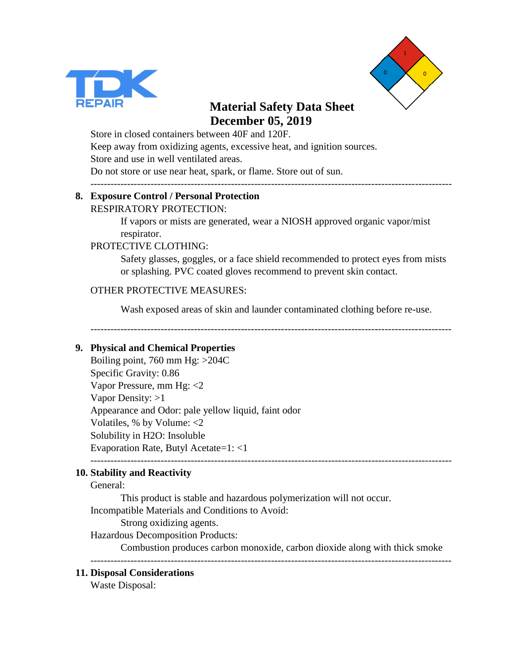



Store in closed containers between 40F and 120F.

Keep away from oxidizing agents, excessive heat, and ignition sources.

Store and use in well ventilated areas.

Do not store or use near heat, spark, or flame. Store out of sun.

### ------------------------------------------------------------------------------------------------------------

#### **8. Exposure Control / Personal Protection** RESPIRATORY PROTECTION:

If vapors or mists are generated, wear a NIOSH approved organic vapor/mist respirator.

# PROTECTIVE CLOTHING:

Safety glasses, goggles, or a face shield recommended to protect eyes from mists or splashing. PVC coated gloves recommend to prevent skin contact.

# OTHER PROTECTIVE MEASURES:

Wash exposed areas of skin and launder contaminated clothing before re-use.

------------------------------------------------------------------------------------------------------------

# **9. Physical and Chemical Properties**

Boiling point, 760 mm Hg: >204C Specific Gravity: 0.86 Vapor Pressure, mm Hg: <2 Vapor Density: >1 Appearance and Odor: pale yellow liquid, faint odor Volatiles, % by Volume: <2 Solubility in H2O: Insoluble Evaporation Rate, Butyl Acetate=1: <1

------------------------------------------------------------------------------------------------------------

# **10. Stability and Reactivity**

# General:

This product is stable and hazardous polymerization will not occur.

Incompatible Materials and Conditions to Avoid:

Strong oxidizing agents.

Hazardous Decomposition Products:

Combustion produces carbon monoxide, carbon dioxide along with thick smoke

------------------------------------------------------------------------------------------------------------

# **11. Disposal Considerations**

Waste Disposal: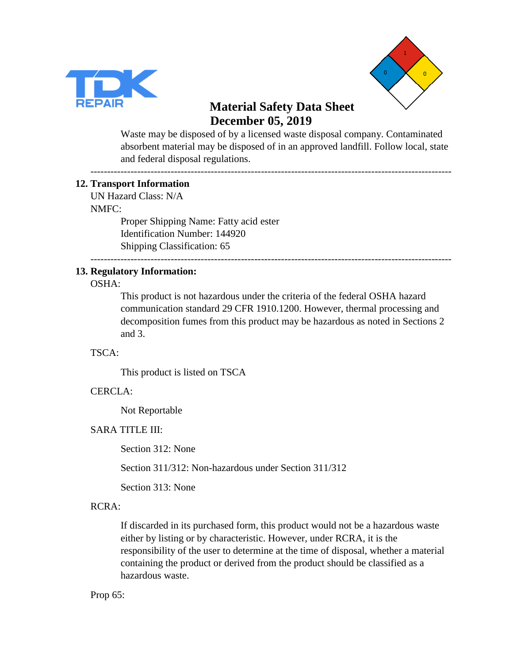



Waste may be disposed of by a licensed waste disposal company. Contaminated absorbent material may be disposed of in an approved landfill. Follow local, state and federal disposal regulations.

#### ------------------------------------------------------------------------------------------------------------

## **12. Transport Information**

UN Hazard Class: N/A NMFC:

Proper Shipping Name: Fatty acid ester Identification Number: 144920 Shipping Classification: 65

#### **13. Regulatory Information:**

#### OSHA:

This product is not hazardous under the criteria of the federal OSHA hazard communication standard 29 CFR 1910.1200. However, thermal processing and decomposition fumes from this product may be hazardous as noted in Sections 2 and 3.

------------------------------------------------------------------------------------------------------------

# TSCA:

This product is listed on TSCA

#### CERCLA:

Not Reportable

#### SARA TITLE III:

Section 312: None

Section 311/312: Non-hazardous under Section 311/312

Section 313: None

#### RCRA:

If discarded in its purchased form, this product would not be a hazardous waste either by listing or by characteristic. However, under RCRA, it is the responsibility of the user to determine at the time of disposal, whether a material containing the product or derived from the product should be classified as a hazardous waste.

Prop 65: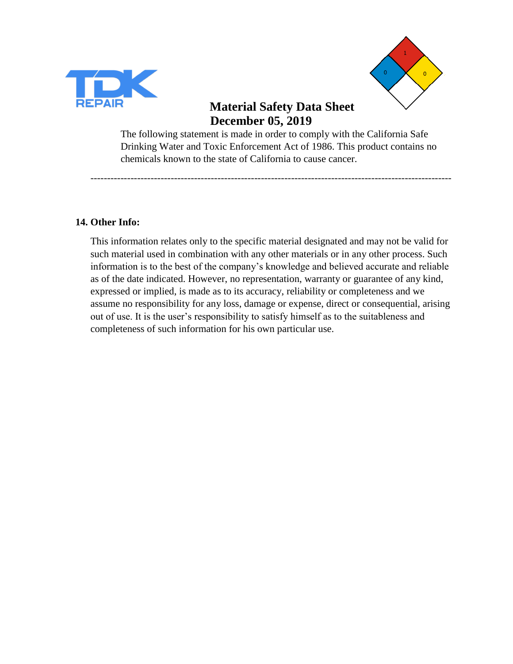



The following statement is made in order to comply with the California Safe Drinking Water and Toxic Enforcement Act of 1986. This product contains no chemicals known to the state of California to cause cancer.

------------------------------------------------------------------------------------------------------------

# **14. Other Info:**

This information relates only to the specific material designated and may not be valid for such material used in combination with any other materials or in any other process. Such information is to the best of the company's knowledge and believed accurate and reliable as of the date indicated. However, no representation, warranty or guarantee of any kind, expressed or implied, is made as to its accuracy, reliability or completeness and we assume no responsibility for any loss, damage or expense, direct or consequential, arising out of use. It is the user's responsibility to satisfy himself as to the suitableness and completeness of such information for his own particular use.